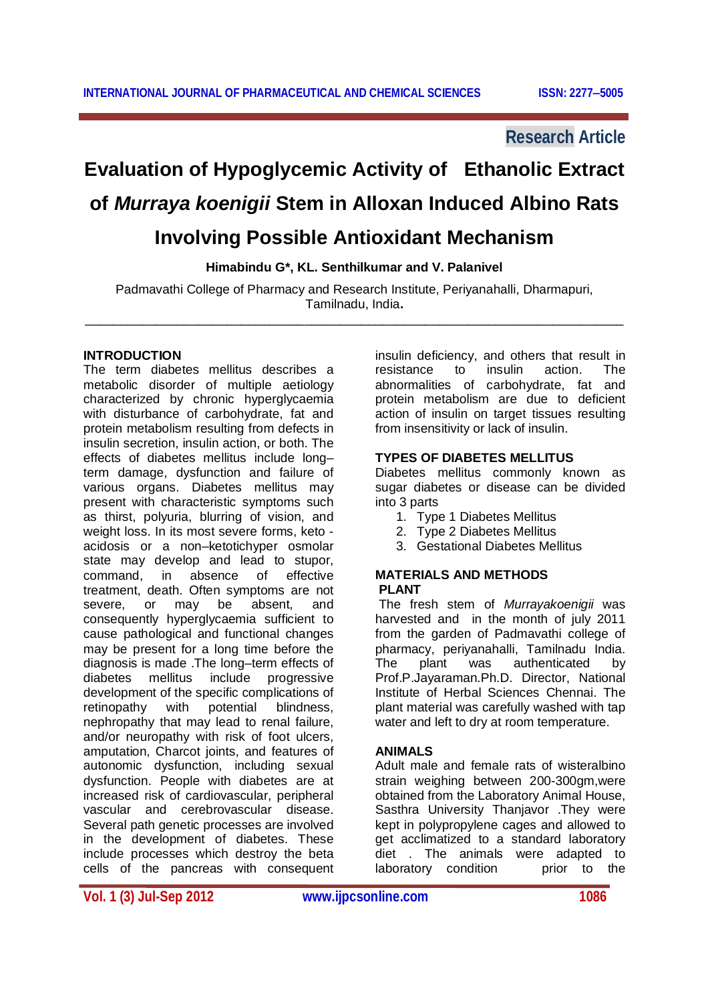# **Research Article**

# **Evaluation of Hypoglycemic Activity of Ethanolic Extract of** *Murraya koenigii* **Stem in Alloxan Induced Albino Rats Involving Possible Antioxidant Mechanism**

**Himabindu G\*, KL. Senthilkumar and V. Palanivel**

Padmavathi College of Pharmacy and Research Institute, Periyanahalli, Dharmapuri, Tamilnadu, India**.** \_\_\_\_\_\_\_\_\_\_\_\_\_\_\_\_\_\_\_\_\_\_\_\_\_\_\_\_\_\_\_\_\_\_\_\_\_\_\_\_\_\_\_\_\_\_\_\_\_\_\_\_\_\_\_\_\_\_\_\_\_\_\_\_\_\_\_\_\_\_\_\_\_\_\_\_

#### **INTRODUCTION**

The term diabetes mellitus describes a metabolic disorder of multiple aetiology characterized by chronic hyperglycaemia with disturbance of carbohydrate, fat and protein metabolism resulting from defects in insulin secretion, insulin action, or both. The effects of diabetes mellitus include long– term damage, dysfunction and failure of various organs. Diabetes mellitus may present with characteristic symptoms such as thirst, polyuria, blurring of vision, and weight loss. In its most severe forms, keto acidosis or a non–ketotichyper osmolar state may develop and lead to stupor, command, in absence of effective treatment, death. Often symptoms are not severe, or may be absent, and consequently hyperglycaemia sufficient to cause pathological and functional changes may be present for a long time before the diagnosis is made .The long–term effects of diabetes mellitus include progressive development of the specific complications of retinopathy with potential blindness, nephropathy that may lead to renal failure, and/or neuropathy with risk of foot ulcers, amputation, Charcot joints, and features of autonomic dysfunction, including sexual dysfunction. People with diabetes are at increased risk of cardiovascular, peripheral vascular and cerebrovascular disease. Several path genetic processes are involved in the development of diabetes. These include processes which destroy the beta cells of the pancreas with consequent

insulin deficiency, and others that result in resistance to insulin action. The abnormalities of carbohydrate, fat and protein metabolism are due to deficient action of insulin on target tissues resulting from insensitivity or lack of insulin.

#### **TYPES OF DIABETES MELLITUS**

Diabetes mellitus commonly known as sugar diabetes or disease can be divided into 3 parts

- 1. Type 1 Diabetes Mellitus
- 2. Type 2 Diabetes Mellitus
- 3. Gestational Diabetes Mellitus

### **MATERIALS AND METHODS PLANT**

The fresh stem of *Murrayakoenigii* was harvested and in the month of july 2011 from the garden of Padmavathi college of pharmacy, periyanahalli, Tamilnadu India.<br>The plant was authenticated by The plant was authenticated by Prof.P.Jayaraman.Ph.D. Director, National Institute of Herbal Sciences Chennai. The plant material was carefully washed with tap water and left to dry at room temperature.

#### **ANIMALS**

Adult male and female rats of wisteralbino strain weighing between 200-300gm,were obtained from the Laboratory Animal House, Sasthra University Thanjavor .They were kept in polypropylene cages and allowed to get acclimatized to a standard laboratory diet . The animals were adapted to<br>laboratory condition below to the laboratory condition

**Vol. 1 (3) Jul-Sep 2012 www.ijpcsonline.com 1086**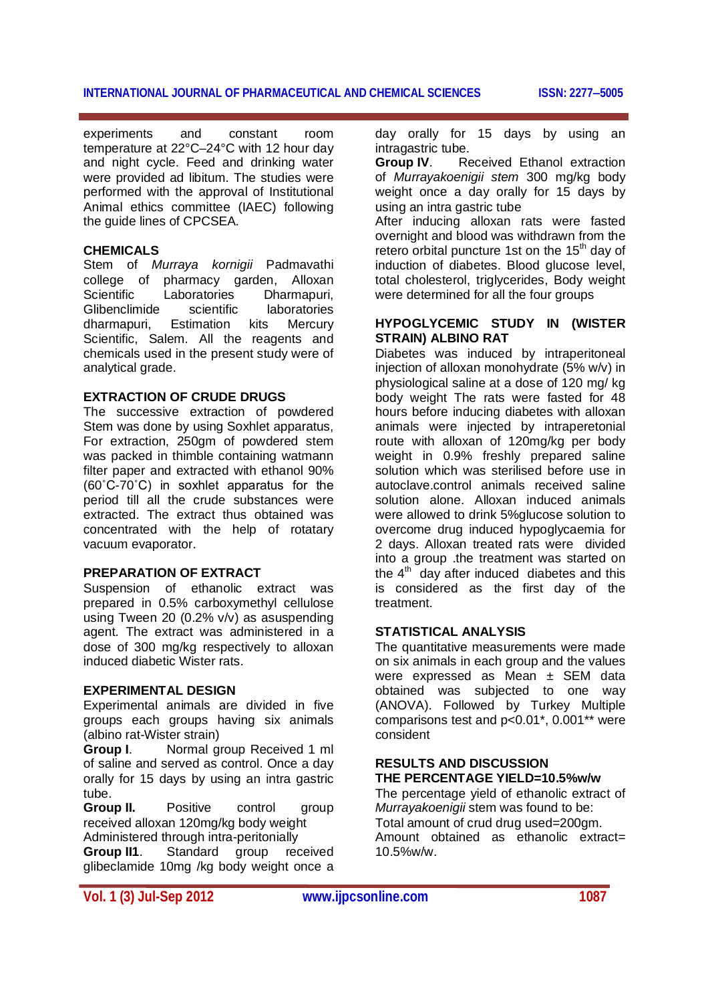#### **INTERNATIONAL JOURNAL OF PHARMACEUTICAL AND CHEMICAL SCIENCES ISSN: 22775005**

experiments and constant room temperature at 22°C–24°C with 12 hour day and night cycle. Feed and drinking water were provided ad libitum. The studies were performed with the approval of Institutional Animal ethics committee (IAEC) following the guide lines of CPCSEA.

#### **CHEMICALS**

Stem of *Murraya kornigii* Padmavathi college of pharmacy garden, Alloxan<br>Scientific Laboratories Dharmapuri. Laboratories Dharmapuri,<br>scientific laboratories Glibenclimide dharmapuri, Estimation kits Mercury Scientific, Salem. All the reagents and chemicals used in the present study were of analytical grade.

#### **EXTRACTION OF CRUDE DRUGS**

The successive extraction of powdered Stem was done by using Soxhlet apparatus, For extraction, 250gm of powdered stem was packed in thimble containing watmann filter paper and extracted with ethanol 90% (60˚C-70˚C) in soxhlet apparatus for the period till all the crude substances were extracted. The extract thus obtained was concentrated with the help of rotatary vacuum evaporator.

#### **PREPARATION OF EXTRACT**

Suspension of ethanolic extract was prepared in 0.5% carboxymethyl cellulose using Tween 20 (0.2% v/v) as asuspending agent. The extract was administered in a dose of 300 mg/kg respectively to alloxan induced diabetic Wister rats.

#### **EXPERIMENTAL DESIGN**

Experimental animals are divided in five groups each groups having six animals (albino rat-Wister strain)

**Group I**. Normal group Received 1 ml of saline and served as control. Once a day orally for 15 days by using an intra gastric tube.

**Group II.** Positive control group received alloxan 120mg/kg body weight Administered through intra-peritonially **Group II1**. Standard group received glibeclamide 10mg /kg body weight once a

day orally for 15 days by using an intragastric tube.

**Group IV.** Received Ethanol extraction of *Murrayakoenigii stem* 300 mg/kg body weight once a day orally for 15 days by using an intra gastric tube

After inducing alloxan rats were fasted overnight and blood was withdrawn from the retero orbital puncture 1st on the  $15<sup>th</sup>$  day of induction of diabetes. Blood glucose level, total cholesterol, triglycerides, Body weight were determined for all the four groups

#### **HYPOGLYCEMIC STUDY IN (WISTER STRAIN) ALBINO RAT**

Diabetes was induced by intraperitoneal injection of alloxan monohydrate (5% w/v) in physiological saline at a dose of 120 mg/ kg body weight The rats were fasted for 48 hours before inducing diabetes with alloxan animals were injected by intraperetonial route with alloxan of 120mg/kg per body weight in 0.9% freshly prepared saline solution which was sterilised before use in autoclave.control animals received saline solution alone. Alloxan induced animals were allowed to drink 5%glucose solution to overcome drug induced hypoglycaemia for 2 days. Alloxan treated rats were divided into a group .the treatment was started on the  $4<sup>th</sup>$  day after induced diabetes and this is considered as the first day of the treatment.

#### **STATISTICAL ANALYSIS**

The quantitative measurements were made on six animals in each group and the values were expressed as Mean ± SEM data obtained was subjected to one way (ANOVA). Followed by Turkey Multiple comparisons test and p<0.01\*, 0.001\*\* were consident

## **RESULTS AND DISCUSSION THE PERCENTAGE YIELD=10.5%w/w**

The percentage yield of ethanolic extract of *Murrayakoenigii* stem was found to be: Total amount of crud drug used=200gm. Amount obtained as ethanolic extract= 10.5%w/w.

**Vol. 1 (3) Jul-Sep 2012 www.ijpcsonline.com 1087**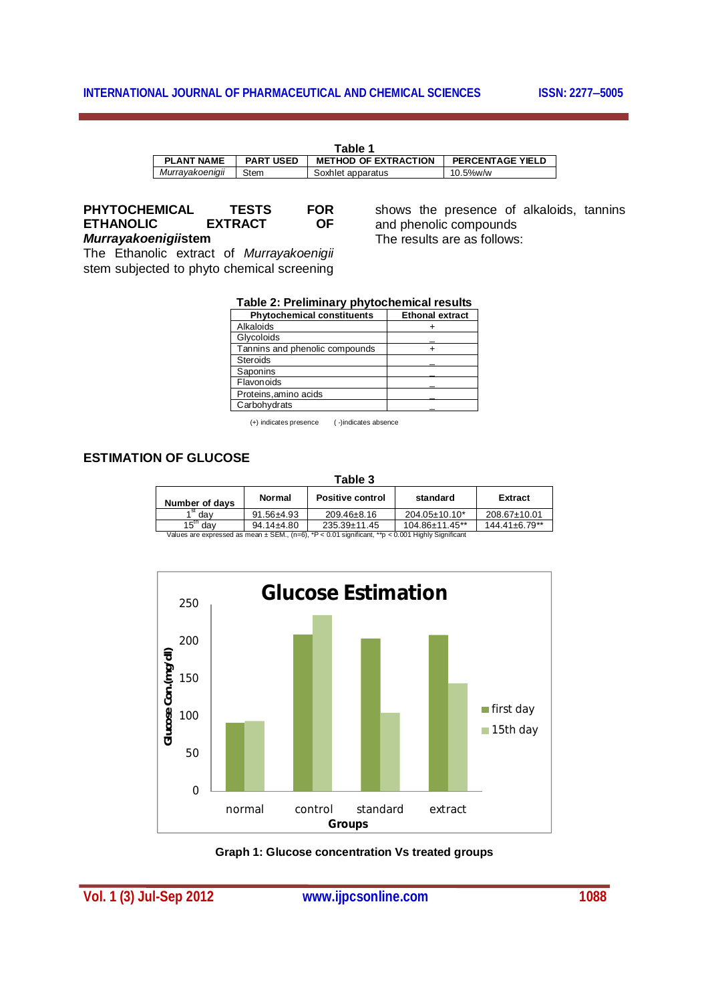#### **INTERNATIONAL JOURNAL OF PHARMACEUTICAL AND CHEMICAL SCIENCES ISSN: 2277-5005**

| Table 1           |                  |                             |                         |
|-------------------|------------------|-----------------------------|-------------------------|
| <b>PLANT NAME</b> | <b>PART USED</b> | <b>METHOD OF EXTRACTION</b> | <b>PERCENTAGE YIELD</b> |
| Murrayakoenigii   | Stem             | Soxhlet apparatus           | 10.5%w/w                |

**PHYTOCHEMICAL TESTS FOR ETHANOLIC** 

*Murrayakoenigii***stem**

The Ethanolic extract of *Murrayakoenigii* stem subjected to phyto chemical screening

shows the presence of alkaloids, tannins and phenolic compounds The results are as follows:

|  | Table 2: Preliminary phytochemical results |
|--|--------------------------------------------|
|--|--------------------------------------------|

| <b>Phytochemical constituents</b> | <b>Ethonal extract</b> |
|-----------------------------------|------------------------|
| Alkaloids                         |                        |
| Glycoloids                        |                        |
| Tannins and phenolic compounds    |                        |
| Steroids                          |                        |
| Saponins                          |                        |
| Flavonoids                        |                        |
| Proteins, amino acids             |                        |
| Carbohydrats                      |                        |

(+) indicates presence ( -)indicates absence

#### **ESTIMATION OF GLUCOSE**

| Table 3                                                                                               |                  |                         |                      |                      |
|-------------------------------------------------------------------------------------------------------|------------------|-------------------------|----------------------|----------------------|
| Number of davs                                                                                        | <b>Normal</b>    | <b>Positive control</b> | standard             | Extract              |
| dav                                                                                                   | $91.56 \pm 4.93$ | $209.46 \pm 8.16$       | $204.05 \pm 10.10^*$ | 208.67±10.01         |
| 15 <sup>th</sup><br>dav                                                                               | $94.14 \pm 4.80$ | $235.39 \pm 11.45$      | 104.86±11.45**       | $144.41 \pm 6.79$ ** |
| Values are expressed as mean $\pm$ SEM., (n=6), *P < 0.01 significant, **p < 0.001 Highly Significant |                  |                         |                      |                      |



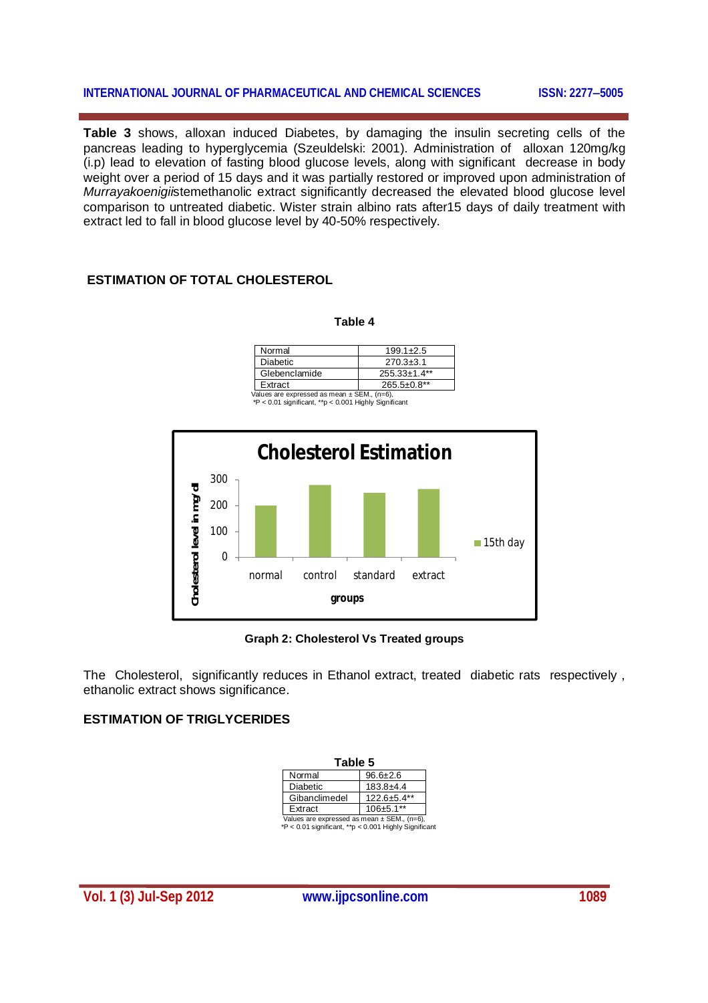#### **INTERNATIONAL JOURNAL OF PHARMACEUTICAL AND CHEMICAL SCIENCES ISSN: 2277-5005**

**Table 3** shows, alloxan induced Diabetes, by damaging the insulin secreting cells of the pancreas leading to hyperglycemia (Szeuldelski: 2001). Administration of alloxan 120mg/kg (i.p) lead to elevation of fasting blood glucose levels, along with significant decrease in body weight over a period of 15 days and it was partially restored or improved upon administration of *Murrayakoenigii*stemethanolic extract significantly decreased the elevated blood glucose level comparison to untreated diabetic. Wister strain albino rats after15 days of daily treatment with extract led to fall in blood glucose level by 40-50% respectively.

### **ESTIMATION OF TOTAL CHOLESTEROL**

| L.<br>۰,<br>×,<br>× |  |
|---------------------|--|
|---------------------|--|

| Normal                                   | $199.1 + 2.5$      |  |
|------------------------------------------|--------------------|--|
| <b>Diabetic</b>                          | $270.3 \pm 3.1$    |  |
| Glebenclamide                            | $255.33 \pm 1.4**$ |  |
| Extract                                  | $265.5 \pm 0.8$ ** |  |
| alues are expressed as mean ± SEM (n=6). |                    |  |

Values are expressed as mean ± SEM., (n=6), \*P < 0.01 significant, \*\*p < 0.001 Highly Significant



#### **Graph 2: Cholesterol Vs Treated groups**

The Cholesterol, significantly reduces in Ethanol extract, treated diabetic rats respectively, ethanolic extract shows significance.

#### **ESTIMATION OF TRIGLYCERIDES**

| Table 5                                         |                |  |  |
|-------------------------------------------------|----------------|--|--|
| Normal                                          | $96.6 \pm 2.6$ |  |  |
| <b>Diabetic</b>                                 | $183.8 + 4.4$  |  |  |
| Gibanclimedel                                   | 122.6±5.4**    |  |  |
| Extract                                         | 106±5.1**      |  |  |
| Values are expressed as mean $\pm$ SEM., (n=6), |                |  |  |

Values are expressed as mean ± SEM., (n=6), \*P < 0.01 significant, \*\*p < 0.001 Highly Significant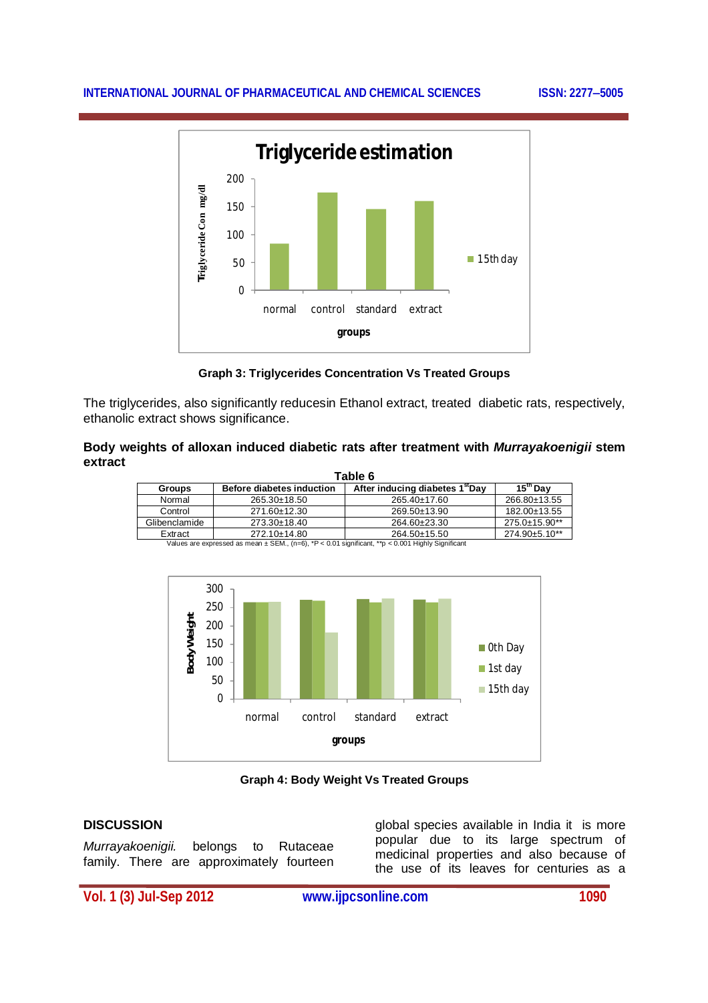#### **INTERNATIONAL JOURNAL OF PHARMACEUTICAL AND CHEMICAL SCIENCES ISSN: 2277-5005**



**Graph 3: Triglycerides Concentration Vs Treated Groups**

The triglycerides, also significantly reducesin Ethanol extract, treated diabetic rats, respectively, ethanolic extract shows significance.

#### **Body weights of alloxan induced diabetic rats after treatment with** *Murrayakoenigii* **stem extract**

| Table 6                                                                                               |                                  |                                             |                       |
|-------------------------------------------------------------------------------------------------------|----------------------------------|---------------------------------------------|-----------------------|
| <b>Groups</b>                                                                                         | <b>Before diabetes induction</b> | After inducing diabetes 1 <sup>st</sup> Day | $15^{\mathrm{m}}$ Dav |
| Normal                                                                                                | $265.30 \pm 18.50$               | $265.40 \pm 17.60$                          | 266.80±13.55          |
| Control                                                                                               | 271.60±12.30                     | 269.50±13.90                                | 182.00±13.55          |
| Glibenclamide                                                                                         | 273.30±18.40                     | 264.60±23.30                                | 275.0±15.90**         |
| Extract                                                                                               | $272.10 \pm 14.80$               | 264.50±15.50                                | 274.90±5.10**         |
| Values are expressed as mean $\pm$ SEM., (n=6), *P < 0.01 significant, **p < 0.001 Highly Significant |                                  |                                             |                       |



**Graph 4: Body Weight Vs Treated Groups**

#### **DISCUSSION**

*Murrayakoenigii.* belongs to Rutaceae family. There are approximately fourteen global species available in India it is more popular due to its large spectrum of medicinal properties and also because of the use of its leaves for centuries as a

**Vol. 1 (3) Jul-Sep 2012 www.ijpcsonline.com 1090**